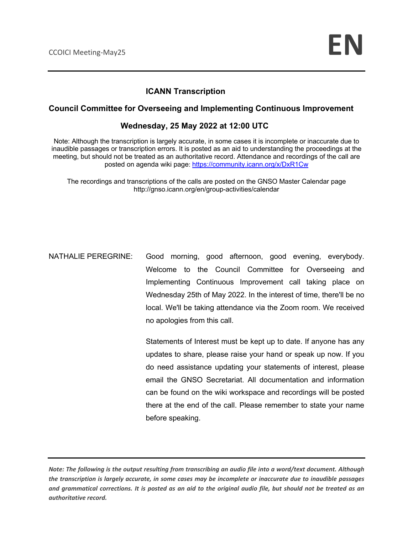### **ICANN Transcription**

#### **Council Committee for Overseeing and Implementing Continuous Improvement**

### **Wednesday, 25 May 2022 at 12:00 UTC**

Note: Although the transcription is largely accurate, in some cases it is incomplete or inaccurate due to inaudible passages or transcription errors. It is posted as an aid to understanding the proceedings at the meeting, but should not be treated as an authoritative record. Attendance and recordings of the call are posted on agenda wiki page: https://community.icann.org/x/DxR1Cw

The recordings and transcriptions of the calls are posted on the GNSO Master Calendar page http://gnso.icann.org/en/group-activities/calendar

NATHALIE PEREGRINE: Good morning, good afternoon, good evening, everybody. Welcome to the Council Committee for Overseeing and Implementing Continuous Improvement call taking place on Wednesday 25th of May 2022. In the interest of time, there'll be no local. We'll be taking attendance via the Zoom room. We received no apologies from this call.

> Statements of Interest must be kept up to date. If anyone has any updates to share, please raise your hand or speak up now. If you do need assistance updating your statements of interest, please email the GNSO Secretariat. All documentation and information can be found on the wiki workspace and recordings will be posted there at the end of the call. Please remember to state your name before speaking.

*Note: The following is the output resulting from transcribing an audio file into a word/text document. Although the transcription is largely accurate, in some cases may be incomplete or inaccurate due to inaudible passages and grammatical corrections. It is posted as an aid to the original audio file, but should not be treated as an authoritative record.*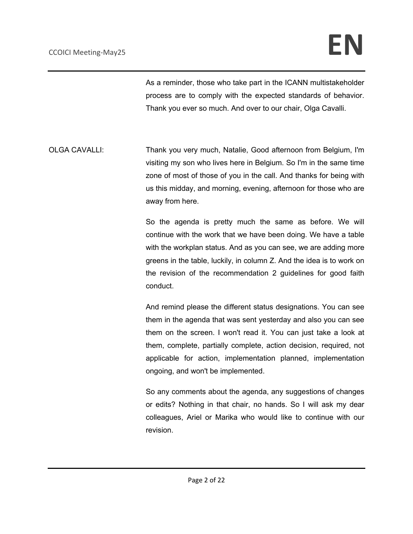As a reminder, those who take part in the ICANN multistakeholder process are to comply with the expected standards of behavior. Thank you ever so much. And over to our chair, Olga Cavalli.

OLGA CAVALLI: Thank you very much, Natalie, Good afternoon from Belgium, I'm visiting my son who lives here in Belgium. So I'm in the same time zone of most of those of you in the call. And thanks for being with us this midday, and morning, evening, afternoon for those who are away from here.

> So the agenda is pretty much the same as before. We will continue with the work that we have been doing. We have a table with the workplan status. And as you can see, we are adding more greens in the table, luckily, in column Z. And the idea is to work on the revision of the recommendation 2 guidelines for good faith conduct.

> And remind please the different status designations. You can see them in the agenda that was sent yesterday and also you can see them on the screen. I won't read it. You can just take a look at them, complete, partially complete, action decision, required, not applicable for action, implementation planned, implementation ongoing, and won't be implemented.

> So any comments about the agenda, any suggestions of changes or edits? Nothing in that chair, no hands. So I will ask my dear colleagues, Ariel or Marika who would like to continue with our revision.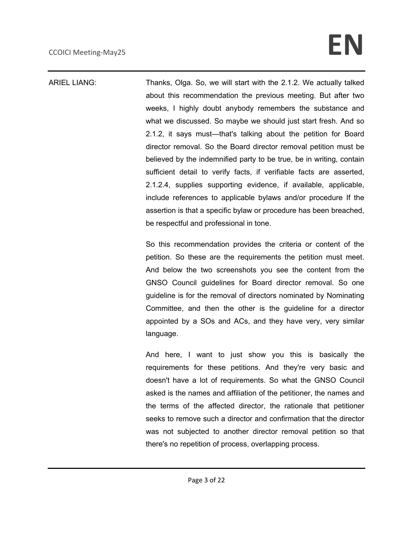# **CCOICI Meeting-May25 EN**

### ARIEL LIANG: Thanks, Olga. So, we will start with the 2.1.2. We actually talked about this recommendation the previous meeting. But after two weeks, I highly doubt anybody remembers the substance and what we discussed. So maybe we should just start fresh. And so 2.1.2, it says must—that's talking about the petition for Board director removal. So the Board director removal petition must be believed by the indemnified party to be true, be in writing, contain sufficient detail to verify facts, if verifiable facts are asserted, 2.1.2.4, supplies supporting evidence, if available, applicable, include references to applicable bylaws and/or procedure If the assertion is that a specific bylaw or procedure has been breached, be respectful and professional in tone.

So this recommendation provides the criteria or content of the petition. So these are the requirements the petition must meet. And below the two screenshots you see the content from the GNSO Council guidelines for Board director removal. So one guideline is for the removal of directors nominated by Nominating Committee, and then the other is the guideline for a director appointed by a SOs and ACs, and they have very, very similar language.

And here, I want to just show you this is basically the requirements for these petitions. And they're very basic and doesn't have a lot of requirements. So what the GNSO Council asked is the names and affiliation of the petitioner, the names and the terms of the affected director, the rationale that petitioner seeks to remove such a director and confirmation that the director was not subjected to another director removal petition so that there's no repetition of process, overlapping process.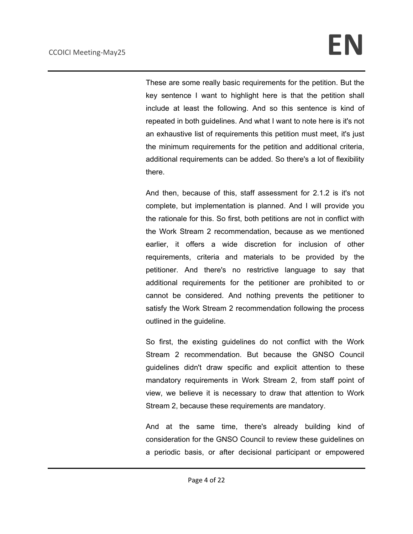These are some really basic requirements for the petition. But the key sentence I want to highlight here is that the petition shall include at least the following. And so this sentence is kind of repeated in both guidelines. And what I want to note here is it's not an exhaustive list of requirements this petition must meet, it's just the minimum requirements for the petition and additional criteria, additional requirements can be added. So there's a lot of flexibility there.

And then, because of this, staff assessment for 2.1.2 is it's not complete, but implementation is planned. And I will provide you the rationale for this. So first, both petitions are not in conflict with the Work Stream 2 recommendation, because as we mentioned earlier, it offers a wide discretion for inclusion of other requirements, criteria and materials to be provided by the petitioner. And there's no restrictive language to say that additional requirements for the petitioner are prohibited to or cannot be considered. And nothing prevents the petitioner to satisfy the Work Stream 2 recommendation following the process outlined in the guideline.

So first, the existing guidelines do not conflict with the Work Stream 2 recommendation. But because the GNSO Council guidelines didn't draw specific and explicit attention to these mandatory requirements in Work Stream 2, from staff point of view, we believe it is necessary to draw that attention to Work Stream 2, because these requirements are mandatory.

And at the same time, there's already building kind of consideration for the GNSO Council to review these guidelines on a periodic basis, or after decisional participant or empowered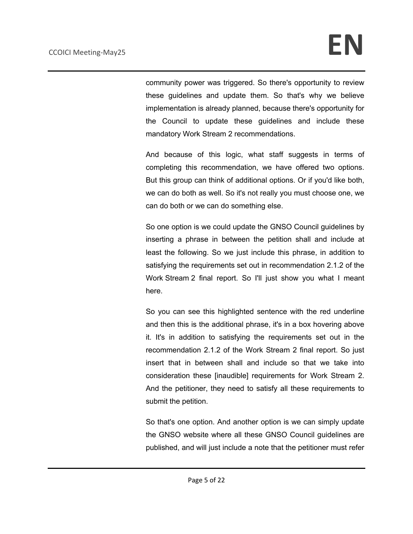community power was triggered. So there's opportunity to review these guidelines and update them. So that's why we believe implementation is already planned, because there's opportunity for the Council to update these guidelines and include these mandatory Work Stream 2 recommendations.

And because of this logic, what staff suggests in terms of completing this recommendation, we have offered two options. But this group can think of additional options. Or if you'd like both, we can do both as well. So it's not really you must choose one, we can do both or we can do something else.

So one option is we could update the GNSO Council guidelines by inserting a phrase in between the petition shall and include at least the following. So we just include this phrase, in addition to satisfying the requirements set out in recommendation 2.1.2 of the Work Stream 2 final report. So I'll just show you what I meant here.

So you can see this highlighted sentence with the red underline and then this is the additional phrase, it's in a box hovering above it. It's in addition to satisfying the requirements set out in the recommendation 2.1.2 of the Work Stream 2 final report. So just insert that in between shall and include so that we take into consideration these [inaudible] requirements for Work Stream 2. And the petitioner, they need to satisfy all these requirements to submit the petition.

So that's one option. And another option is we can simply update the GNSO website where all these GNSO Council guidelines are published, and will just include a note that the petitioner must refer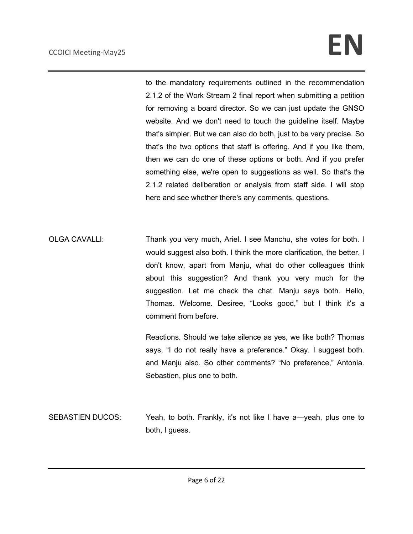to the mandatory requirements outlined in the recommendation 2.1.2 of the Work Stream 2 final report when submitting a petition for removing a board director. So we can just update the GNSO website. And we don't need to touch the guideline itself. Maybe that's simpler. But we can also do both, just to be very precise. So that's the two options that staff is offering. And if you like them, then we can do one of these options or both. And if you prefer something else, we're open to suggestions as well. So that's the 2.1.2 related deliberation or analysis from staff side. I will stop here and see whether there's any comments, questions.

OLGA CAVALLI: Thank you very much, Ariel. I see Manchu, she votes for both. I would suggest also both. I think the more clarification, the better. I don't know, apart from Manju, what do other colleagues think about this suggestion? And thank you very much for the suggestion. Let me check the chat. Manju says both. Hello, Thomas. Welcome. Desiree, "Looks good," but I think it's a comment from before.

> Reactions. Should we take silence as yes, we like both? Thomas says, "I do not really have a preference." Okay. I suggest both. and Manju also. So other comments? "No preference," Antonia. Sebastien, plus one to both.

SEBASTIEN DUCOS: Yeah, to both. Frankly, it's not like I have a—yeah, plus one to both, I guess.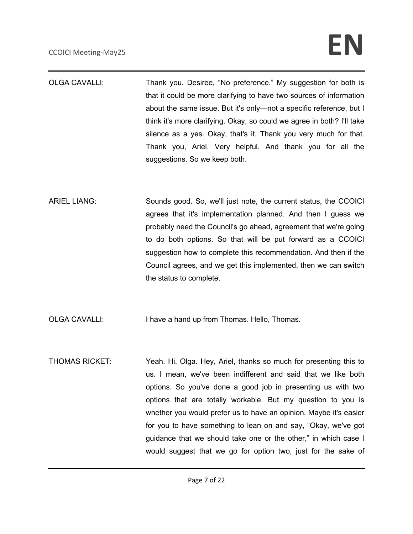- OLGA CAVALLI: Thank you. Desiree, "No preference." My suggestion for both is that it could be more clarifying to have two sources of information about the same issue. But it's only—not a specific reference, but I think it's more clarifying. Okay, so could we agree in both? I'll take silence as a yes. Okay, that's it. Thank you very much for that. Thank you, Ariel. Very helpful. And thank you for all the suggestions. So we keep both.
- ARIEL LIANG: Sounds good. So, we'll just note, the current status, the CCOICI agrees that it's implementation planned. And then I guess we probably need the Council's go ahead, agreement that we're going to do both options. So that will be put forward as a CCOICI suggestion how to complete this recommendation. And then if the Council agrees, and we get this implemented, then we can switch the status to complete.

OLGA CAVALLI: I have a hand up from Thomas. Hello, Thomas.

THOMAS RICKET: Yeah. Hi, Olga. Hey, Ariel, thanks so much for presenting this to us. I mean, we've been indifferent and said that we like both options. So you've done a good job in presenting us with two options that are totally workable. But my question to you is whether you would prefer us to have an opinion. Maybe it's easier for you to have something to lean on and say, "Okay, we've got guidance that we should take one or the other," in which case I would suggest that we go for option two, just for the sake of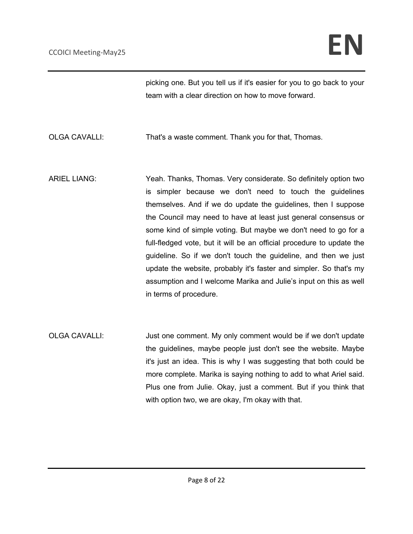picking one. But you tell us if it's easier for you to go back to your team with a clear direction on how to move forward.

OLGA CAVALLI: That's a waste comment. Thank you for that, Thomas.

- ARIEL LIANG: Yeah. Thanks, Thomas. Very considerate. So definitely option two is simpler because we don't need to touch the guidelines themselves. And if we do update the guidelines, then I suppose the Council may need to have at least just general consensus or some kind of simple voting. But maybe we don't need to go for a full-fledged vote, but it will be an official procedure to update the guideline. So if we don't touch the guideline, and then we just update the website, probably it's faster and simpler. So that's my assumption and I welcome Marika and Julie's input on this as well in terms of procedure.
- OLGA CAVALLI: Just one comment. My only comment would be if we don't update the guidelines, maybe people just don't see the website. Maybe it's just an idea. This is why I was suggesting that both could be more complete. Marika is saying nothing to add to what Ariel said. Plus one from Julie. Okay, just a comment. But if you think that with option two, we are okay, I'm okay with that.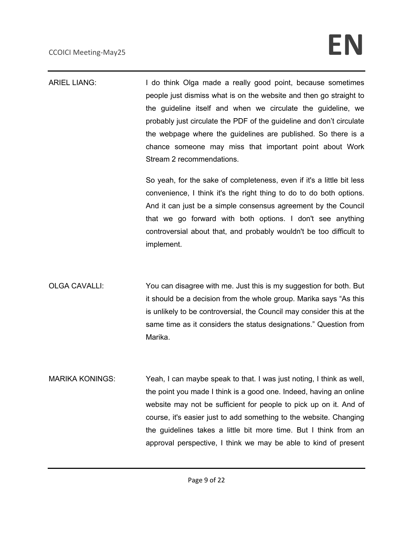ARIEL LIANG: I do think Olga made a really good point, because sometimes people just dismiss what is on the website and then go straight to the guideline itself and when we circulate the guideline, we probably just circulate the PDF of the guideline and don't circulate the webpage where the guidelines are published. So there is a chance someone may miss that important point about Work Stream 2 recommendations.

> So yeah, for the sake of completeness, even if it's a little bit less convenience, I think it's the right thing to do to do both options. And it can just be a simple consensus agreement by the Council that we go forward with both options. I don't see anything controversial about that, and probably wouldn't be too difficult to implement.

- OLGA CAVALLI: You can disagree with me. Just this is my suggestion for both. But it should be a decision from the whole group. Marika says "As this is unlikely to be controversial, the Council may consider this at the same time as it considers the status designations." Question from Marika.
- MARIKA KONINGS: Yeah, I can maybe speak to that. I was just noting, I think as well, the point you made I think is a good one. Indeed, having an online website may not be sufficient for people to pick up on it. And of course, it's easier just to add something to the website. Changing the guidelines takes a little bit more time. But I think from an approval perspective, I think we may be able to kind of present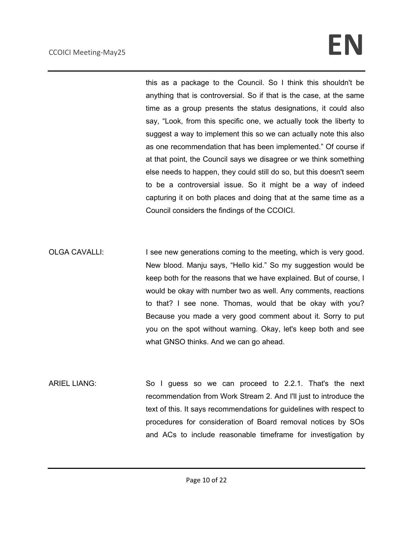# **CCOICI Meeting-May25 EN**

this as a package to the Council. So I think this shouldn't be anything that is controversial. So if that is the case, at the same time as a group presents the status designations, it could also say, "Look, from this specific one, we actually took the liberty to suggest a way to implement this so we can actually note this also as one recommendation that has been implemented." Of course if at that point, the Council says we disagree or we think something else needs to happen, they could still do so, but this doesn't seem to be a controversial issue. So it might be a way of indeed capturing it on both places and doing that at the same time as a Council considers the findings of the CCOICI.

OLGA CAVALLI: I see new generations coming to the meeting, which is very good. New blood. Manju says, "Hello kid." So my suggestion would be keep both for the reasons that we have explained. But of course, I would be okay with number two as well. Any comments, reactions to that? I see none. Thomas, would that be okay with you? Because you made a very good comment about it. Sorry to put you on the spot without warning. Okay, let's keep both and see what GNSO thinks. And we can go ahead.

ARIEL LIANG: So I guess so we can proceed to 2.2.1. That's the next recommendation from Work Stream 2. And I'll just to introduce the text of this. It says recommendations for guidelines with respect to procedures for consideration of Board removal notices by SOs and ACs to include reasonable timeframe for investigation by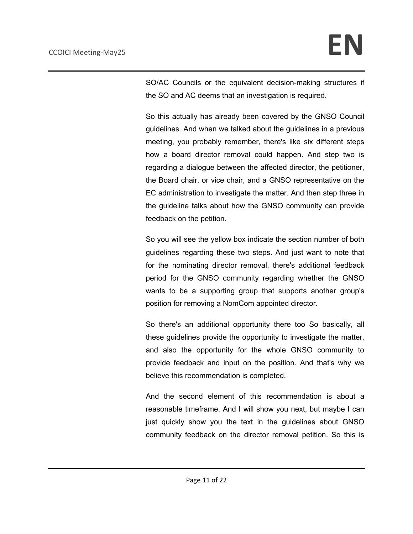SO/AC Councils or the equivalent decision-making structures if the SO and AC deems that an investigation is required.

So this actually has already been covered by the GNSO Council guidelines. And when we talked about the guidelines in a previous meeting, you probably remember, there's like six different steps how a board director removal could happen. And step two is regarding a dialogue between the affected director, the petitioner, the Board chair, or vice chair, and a GNSO representative on the EC administration to investigate the matter. And then step three in the guideline talks about how the GNSO community can provide feedback on the petition.

So you will see the yellow box indicate the section number of both guidelines regarding these two steps. And just want to note that for the nominating director removal, there's additional feedback period for the GNSO community regarding whether the GNSO wants to be a supporting group that supports another group's position for removing a NomCom appointed director.

So there's an additional opportunity there too So basically, all these guidelines provide the opportunity to investigate the matter, and also the opportunity for the whole GNSO community to provide feedback and input on the position. And that's why we believe this recommendation is completed.

And the second element of this recommendation is about a reasonable timeframe. And I will show you next, but maybe I can just quickly show you the text in the guidelines about GNSO community feedback on the director removal petition. So this is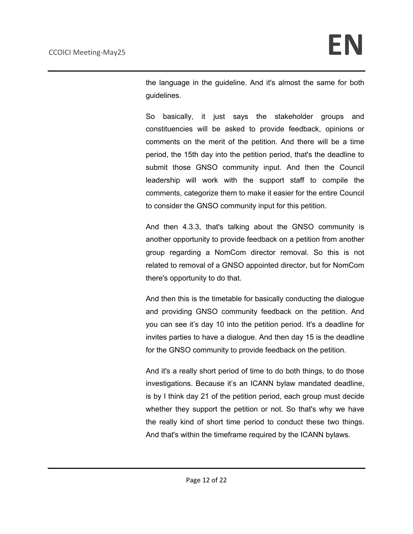the language in the guideline. And it's almost the same for both guidelines.

So basically, it just says the stakeholder groups and constituencies will be asked to provide feedback, opinions or comments on the merit of the petition. And there will be a time period, the 15th day into the petition period, that's the deadline to submit those GNSO community input. And then the Council leadership will work with the support staff to compile the comments, categorize them to make it easier for the entire Council to consider the GNSO community input for this petition.

And then 4.3.3, that's talking about the GNSO community is another opportunity to provide feedback on a petition from another group regarding a NomCom director removal. So this is not related to removal of a GNSO appointed director, but for NomCom there's opportunity to do that.

And then this is the timetable for basically conducting the dialogue and providing GNSO community feedback on the petition. And you can see it's day 10 into the petition period. It's a deadline for invites parties to have a dialogue. And then day 15 is the deadline for the GNSO community to provide feedback on the petition.

And it's a really short period of time to do both things, to do those investigations. Because it's an ICANN bylaw mandated deadline, is by I think day 21 of the petition period, each group must decide whether they support the petition or not. So that's why we have the really kind of short time period to conduct these two things. And that's within the timeframe required by the ICANN bylaws.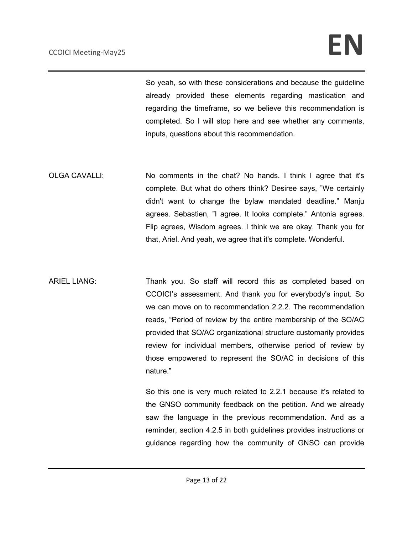So yeah, so with these considerations and because the guideline already provided these elements regarding mastication and regarding the timeframe, so we believe this recommendation is completed. So I will stop here and see whether any comments, inputs, questions about this recommendation.

- OLGA CAVALLI: No comments in the chat? No hands. I think I agree that it's complete. But what do others think? Desiree says, "We certainly didn't want to change the bylaw mandated deadline." Manju agrees. Sebastien, "I agree. It looks complete." Antonia agrees. Flip agrees, Wisdom agrees. I think we are okay. Thank you for that, Ariel. And yeah, we agree that it's complete. Wonderful.
- ARIEL LIANG: Thank you. So staff will record this as completed based on CCOICI's assessment. And thank you for everybody's input. So we can move on to recommendation 2.2.2. The recommendation reads, "Period of review by the entire membership of the SO/AC provided that SO/AC organizational structure customarily provides review for individual members, otherwise period of review by those empowered to represent the SO/AC in decisions of this nature."

So this one is very much related to 2.2.1 because it's related to the GNSO community feedback on the petition. And we already saw the language in the previous recommendation. And as a reminder, section 4.2.5 in both guidelines provides instructions or guidance regarding how the community of GNSO can provide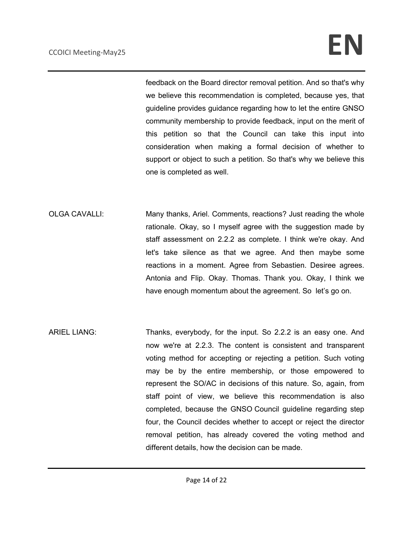feedback on the Board director removal petition. And so that's why we believe this recommendation is completed, because yes, that guideline provides guidance regarding how to let the entire GNSO community membership to provide feedback, input on the merit of this petition so that the Council can take this input into consideration when making a formal decision of whether to support or object to such a petition. So that's why we believe this one is completed as well.

- OLGA CAVALLI: Many thanks, Ariel. Comments, reactions? Just reading the whole rationale. Okay, so I myself agree with the suggestion made by staff assessment on 2.2.2 as complete. I think we're okay. And let's take silence as that we agree. And then maybe some reactions in a moment. Agree from Sebastien. Desiree agrees. Antonia and Flip. Okay. Thomas. Thank you. Okay, I think we have enough momentum about the agreement. So let's go on.
- ARIEL LIANG: Thanks, everybody, for the input. So 2.2.2 is an easy one. And now we're at 2.2.3. The content is consistent and transparent voting method for accepting or rejecting a petition. Such voting may be by the entire membership, or those empowered to represent the SO/AC in decisions of this nature. So, again, from staff point of view, we believe this recommendation is also completed, because the GNSO Council guideline regarding step four, the Council decides whether to accept or reject the director removal petition, has already covered the voting method and different details, how the decision can be made.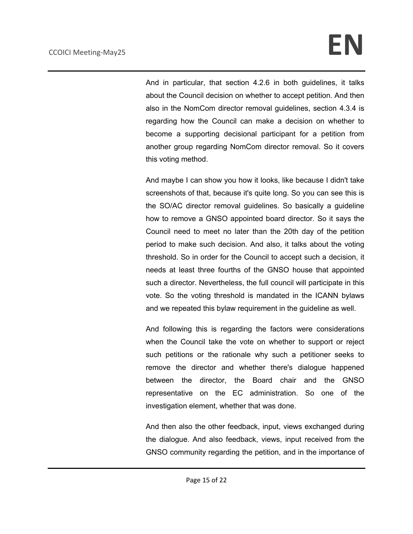And in particular, that section 4.2.6 in both guidelines, it talks about the Council decision on whether to accept petition. And then also in the NomCom director removal guidelines, section 4.3.4 is regarding how the Council can make a decision on whether to become a supporting decisional participant for a petition from another group regarding NomCom director removal. So it covers this voting method.

And maybe I can show you how it looks, like because I didn't take screenshots of that, because it's quite long. So you can see this is the SO/AC director removal guidelines. So basically a guideline how to remove a GNSO appointed board director. So it says the Council need to meet no later than the 20th day of the petition period to make such decision. And also, it talks about the voting threshold. So in order for the Council to accept such a decision, it needs at least three fourths of the GNSO house that appointed such a director. Nevertheless, the full council will participate in this vote. So the voting threshold is mandated in the ICANN bylaws and we repeated this bylaw requirement in the guideline as well.

And following this is regarding the factors were considerations when the Council take the vote on whether to support or reject such petitions or the rationale why such a petitioner seeks to remove the director and whether there's dialogue happened between the director, the Board chair and the GNSO representative on the EC administration. So one of the investigation element, whether that was done.

And then also the other feedback, input, views exchanged during the dialogue. And also feedback, views, input received from the GNSO community regarding the petition, and in the importance of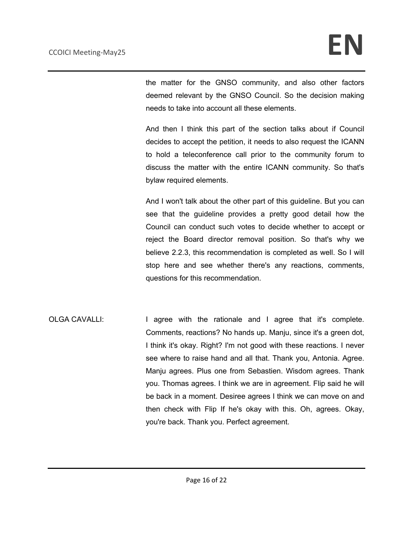the matter for the GNSO community, and also other factors deemed relevant by the GNSO Council. So the decision making needs to take into account all these elements.

And then I think this part of the section talks about if Council decides to accept the petition, it needs to also request the ICANN to hold a teleconference call prior to the community forum to discuss the matter with the entire ICANN community. So that's bylaw required elements.

And I won't talk about the other part of this guideline. But you can see that the guideline provides a pretty good detail how the Council can conduct such votes to decide whether to accept or reject the Board director removal position. So that's why we believe 2.2.3, this recommendation is completed as well. So I will stop here and see whether there's any reactions, comments, questions for this recommendation.

OLGA CAVALLI: I agree with the rationale and I agree that it's complete. Comments, reactions? No hands up. Manju, since it's a green dot, I think it's okay. Right? I'm not good with these reactions. I never see where to raise hand and all that. Thank you, Antonia. Agree. Manju agrees. Plus one from Sebastien. Wisdom agrees. Thank you. Thomas agrees. I think we are in agreement. Flip said he will be back in a moment. Desiree agrees I think we can move on and then check with Flip If he's okay with this. Oh, agrees. Okay, you're back. Thank you. Perfect agreement.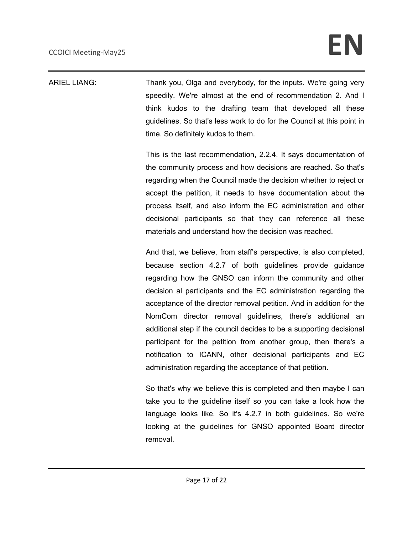ARIEL LIANG: Thank you, Olga and everybody, for the inputs. We're going very speedily. We're almost at the end of recommendation 2. And I think kudos to the drafting team that developed all these guidelines. So that's less work to do for the Council at this point in time. So definitely kudos to them.

> This is the last recommendation, 2.2.4. It says documentation of the community process and how decisions are reached. So that's regarding when the Council made the decision whether to reject or accept the petition, it needs to have documentation about the process itself, and also inform the EC administration and other decisional participants so that they can reference all these materials and understand how the decision was reached.

> And that, we believe, from staff's perspective, is also completed, because section 4.2.7 of both guidelines provide guidance regarding how the GNSO can inform the community and other decision al participants and the EC administration regarding the acceptance of the director removal petition. And in addition for the NomCom director removal guidelines, there's additional an additional step if the council decides to be a supporting decisional participant for the petition from another group, then there's a notification to ICANN, other decisional participants and EC administration regarding the acceptance of that petition.

> So that's why we believe this is completed and then maybe I can take you to the guideline itself so you can take a look how the language looks like. So it's 4.2.7 in both guidelines. So we're looking at the guidelines for GNSO appointed Board director removal.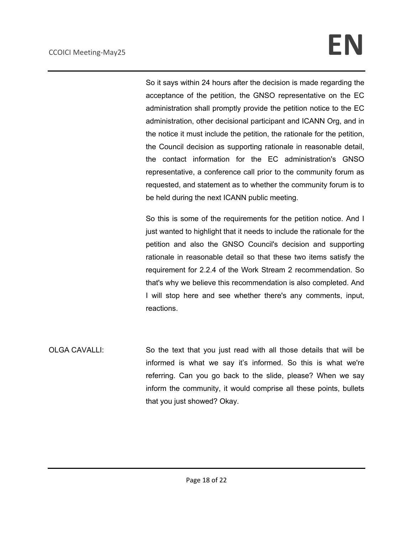So it says within 24 hours after the decision is made regarding the acceptance of the petition, the GNSO representative on the EC administration shall promptly provide the petition notice to the EC administration, other decisional participant and ICANN Org, and in the notice it must include the petition, the rationale for the petition, the Council decision as supporting rationale in reasonable detail, the contact information for the EC administration's GNSO representative, a conference call prior to the community forum as requested, and statement as to whether the community forum is to be held during the next ICANN public meeting.

So this is some of the requirements for the petition notice. And I just wanted to highlight that it needs to include the rationale for the petition and also the GNSO Council's decision and supporting rationale in reasonable detail so that these two items satisfy the requirement for 2.2.4 of the Work Stream 2 recommendation. So that's why we believe this recommendation is also completed. And I will stop here and see whether there's any comments, input, reactions.

OLGA CAVALLI: So the text that you just read with all those details that will be informed is what we say it's informed. So this is what we're referring. Can you go back to the slide, please? When we say inform the community, it would comprise all these points, bullets that you just showed? Okay.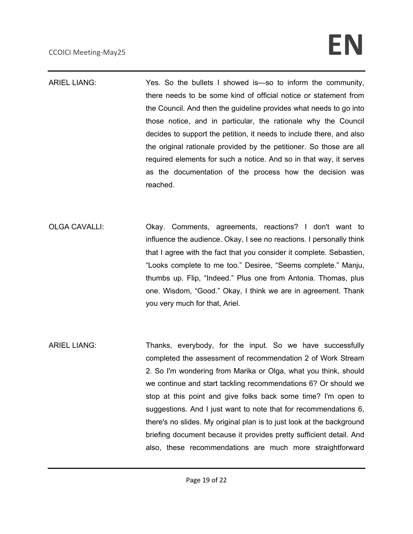# **CCOICI Meeting-May25 EN**

ARIEL LIANG: Yes. So the bullets I showed is—so to inform the community, there needs to be some kind of official notice or statement from the Council. And then the guideline provides what needs to go into those notice, and in particular, the rationale why the Council decides to support the petition, it needs to include there, and also the original rationale provided by the petitioner. So those are all required elements for such a notice. And so in that way, it serves as the documentation of the process how the decision was reached.

- OLGA CAVALLI: Okay. Comments, agreements, reactions? I don't want to influence the audience. Okay, I see no reactions. I personally think that I agree with the fact that you consider it complete. Sebastien, "Looks complete to me too." Desiree, "Seems complete." Manju, thumbs up. Flip, "Indeed." Plus one from Antonia. Thomas, plus one. Wisdom, "Good." Okay, I think we are in agreement. Thank you very much for that, Ariel.
- ARIEL LIANG: Thanks, everybody, for the input. So we have successfully completed the assessment of recommendation 2 of Work Stream 2. So I'm wondering from Marika or Olga, what you think, should we continue and start tackling recommendations 6? Or should we stop at this point and give folks back some time? I'm open to suggestions. And I just want to note that for recommendations 6, there's no slides. My original plan is to just look at the background briefing document because it provides pretty sufficient detail. And also, these recommendations are much more straightforward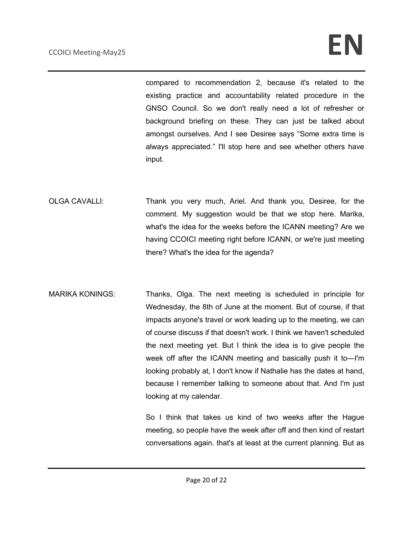## **CCOICI Meeting-May25 EN**

compared to recommendation 2, because it's related to the existing practice and accountability related procedure in the GNSO Council. So we don't really need a lot of refresher or background briefing on these. They can just be talked about amongst ourselves. And I see Desiree says "Some extra time is always appreciated." I'll stop here and see whether others have input.

- OLGA CAVALLI: Thank you very much, Ariel. And thank you, Desiree, for the comment. My suggestion would be that we stop here. Marika, what's the idea for the weeks before the ICANN meeting? Are we having CCOICI meeting right before ICANN, or we're just meeting there? What's the idea for the agenda?
- MARIKA KONINGS: Thanks, Olga. The next meeting is scheduled in principle for Wednesday, the 8th of June at the moment. But of course, if that impacts anyone's travel or work leading up to the meeting, we can of course discuss if that doesn't work. I think we haven't scheduled the next meeting yet. But I think the idea is to give people the week off after the ICANN meeting and basically push it to—I'm looking probably at, I don't know if Nathalie has the dates at hand, because I remember talking to someone about that. And I'm just looking at my calendar.

So I think that takes us kind of two weeks after the Hague meeting, so people have the week after off and then kind of restart conversations again. that's at least at the current planning. But as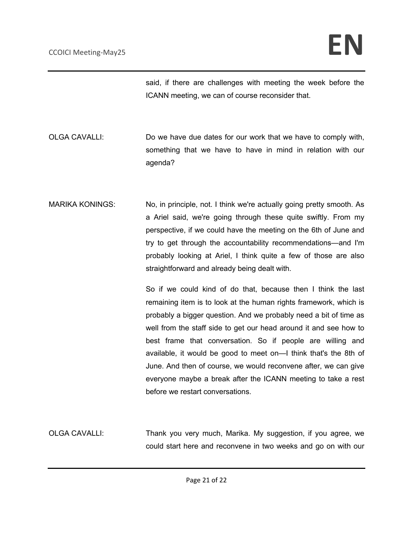said, if there are challenges with meeting the week before the ICANN meeting, we can of course reconsider that.

OLGA CAVALLI: Do we have due dates for our work that we have to comply with, something that we have to have in mind in relation with our agenda?

MARIKA KONINGS: No, in principle, not. I think we're actually going pretty smooth. As a Ariel said, we're going through these quite swiftly. From my perspective, if we could have the meeting on the 6th of June and try to get through the accountability recommendations—and I'm probably looking at Ariel, I think quite a few of those are also straightforward and already being dealt with.

> So if we could kind of do that, because then I think the last remaining item is to look at the human rights framework, which is probably a bigger question. And we probably need a bit of time as well from the staff side to get our head around it and see how to best frame that conversation. So if people are willing and available, it would be good to meet on—I think that's the 8th of June. And then of course, we would reconvene after, we can give everyone maybe a break after the ICANN meeting to take a rest before we restart conversations.

OLGA CAVALLI: Thank you very much, Marika. My suggestion, if you agree, we could start here and reconvene in two weeks and go on with our